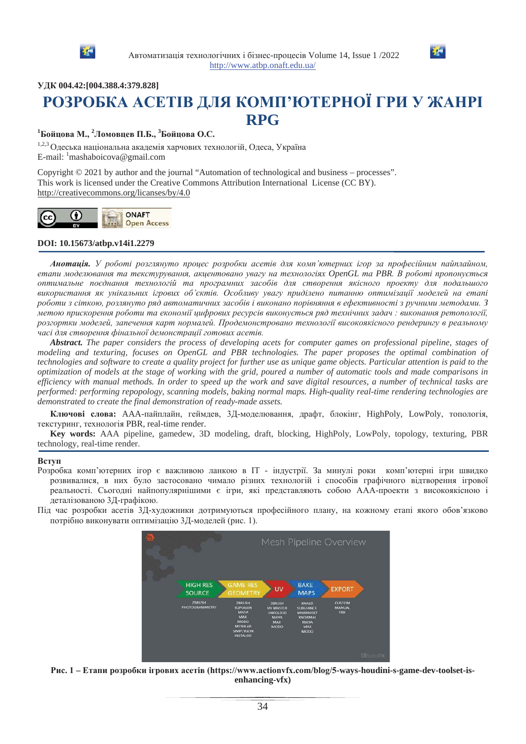



**ɍȾɄ 004.42:[004.388.4:379.828]**

# РОЗРОБКА АСЕТІВ ДЛЯ КОМП'ЮТЕРНОЇ ГРИ У ЖАНРІ **RPG**

# $^1$ Бойцова М., <sup>2</sup>Ломовцев П.Б., <sup>3</sup>Бойцова О.С.

1,2,3 Олеська національна академія харчових технологій, Одеса, Україна E-mail: <sup>1</sup>mashaboicova@gmail.com

Copyright © 2021 by author and the journal "Automation of technological and business – processes". This work is licensed under the Creative Commons Attribution International License (CC BY). http://creativecommons.org/licanses/by/4.0



### **DOI: 10.15673/atbp.v14i1.2279**

Анотація. У роботі розглянуто процес розробки асетів для комп'ютерних ігор за професійним пайплайном,  $e$ тапи моделювання та текстурування, акцентовано увагу на технологіях OpenGL та PBR. В роботі пропонується оптимальне поєднання технологій та програмних засобів для створення якісного проекту для подальшого використання як унікальних ігрових об'єктів. Особливу увагу приділено питанню оптимізації моделей на етапі роботи з сіткою, розлянуто ряд автоматичних засобів і виконано порівняння в ефективності з ручними методами. З метою прискорення роботи та економії цифрових ресурсів виконується ряд технічних задач : виконання ретопології, розгортки моделей, запечення карт нормалей. Продемонстровано технології високоякісного рендерингу в реальному часі для створення фінальної демонстрації готових асетів.

*Abstract. The paper considers the process of developing acets for computer games on professional pipeline, stages of modeling and texturing, focuses on OpenGL and PBR technologies. The paper proposes the optimal combination of technologies and software to create a quality project for further use as unique game objects. Particular attention is paid to the optimization of models at the stage of working with the grid, poured a number of automatic tools and made comparisons in efficiency with manual methods. In order to speed up the work and save digital resources, a number of technical tasks are performed: performing repopology, scanning models, baking normal maps. High-quality real-time rendering technologies are demonstrated to create the final demonstration of ready-made assets.*

**Ключові слова:** ААА-пайплайн, геймлев, 3Л-молелювання, драфт, блокінг, HighPoly, LowPoly, топологія, текстуринг, технологія PBR, real-time render.

**Key words:** AAA pipeline, gamedew, 3D modeling, draft, blocking, HighPoly, LowPoly, topology, texturing, PBR technology, real-time render.

#### **Вступ**

Розробка комп'ютерних ігор є важливою ланкою в ІТ - індустрії. За минулі роки комп'ютерні ігри швидко розвивалися, в них було застосовано чимало різних технологій і способів графічного відтворення ігрової реальності. Сьогодні найпопулярнішими є ігри, які представляють собою ААА-проекти з високоякісною і деталізованою 3Д-графікою.

Під час розробки асетів ЗД-художники дотримуються професійного плану, на кожному етапі якого обов'язково потрібно виконувати оптимізацію ЗД-моделей (рис. 1).



Рис. 1 – Етапи розробки ігрових асетів (https://www.actionvfx.com/blog/5-ways-houdini-s-game-dev-toolset-is**enhancing-vfx)**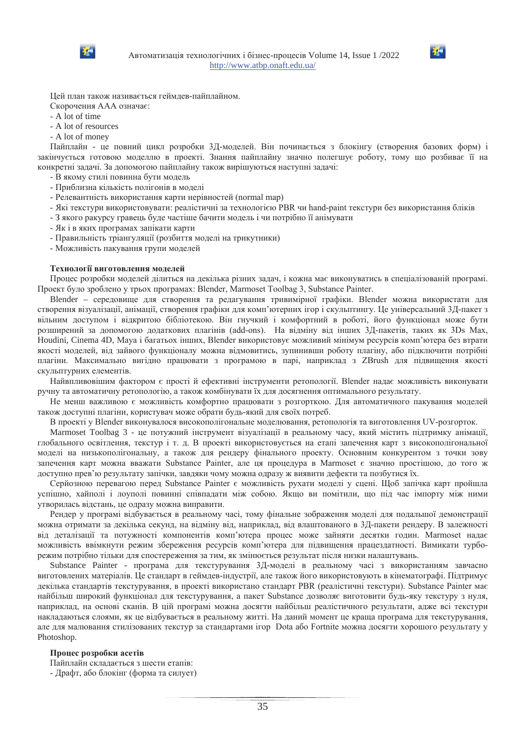



Цей план також називається геймдев-пайплайном.

Скорочення ААА означає:

- A lot of time
- A lot of resources
- A lot of money

Пайплайн - це повний цикл розробки 3Д-моделей. Він починається з блокінгу (створення базових форм) і закінчується готовою моделлю в проекті. Знання пайплайну значно полегшує роботу, тому що розбиває її на конкретні задачі. За допомогою пайплайну також вирішуються наступні задачі:

- В якому стилі повинна бути модель
- Приблизна кількість полігонів в моделі
- Релевантність використання карти нерівностей (normal map)
- Які текстури використовувати: реалістичні за технологією PBR чи hand-paint текстури без використання бліків
- З якого ракурсу гравець буде частіше бачити модель і чи потрібно її анімувати
- Як і в яких програмах запікати карти
- Правильність тріангуляції (розбиття моделі на трикутники)
- Можливість пакування групи моделей

#### Технології виготовлення моделей

Процес розробки моделей ділиться на декілька різних задач, і кожна має виконуватись в спеціалізованій програмі. Проект було зроблено у трьох програмах: Blender, Marmoset Toolbag 3, Substance Painter.

Blender – середовище для створення та редагування тривимірної графіки. Blender можна використати для створення візуалізації, анімації, створення графіки для комп'ютерних ігор і скульптингу. Це універсальний 3Д-пакет з вільним доступом і відкритою бібліотекою. Він гнучкий і комфортний в роботі, його функціонал може бути розширений за допомогою додаткових плагінів (add-ons). На відміну від інших ЗД-пакетів, таких як ЗDs Max, Houdini, Cinema 4D, Maya i багатьох інших, Blender використовує можливий мінімум ресурсів комп'ютера без втрати якості моделей, від зайвого функціоналу можна відмовитись, зупинивши роботу плагіну, або підключити потрібні плагіни. Максимально вигідно працювати з програмою в парі, наприклад з ZBrush для підвищення якості скульптурних елементів.

Найвпливовішим фактором є прості й ефективні інструменти ретопології. Blender надає можливість виконувати ручну та автоматичну ретопологію, а також комбінувати їх для досягнення оптимального результату.

Не менш важливою є можливість комфортно працювати з розгорткою. Для автоматичного пакування моделей також доступні плагіни, користувач може обрати будь-який для своїх потреб.

В проекті у Blender виконувалося високополігональне моделювання, ретопологія та виготовлення UV-розгорток.

Marmoset Toolbag 3 - це потужний інструмент візуалізації в реальному часу, який містить підтримку анімації, глобального освітлення, текстур і т. д. В проекті використовується на етапі запечення карт з високополігональної моделі на низькополігональну, а також для рендеру фінального проекту. Основним конкурентом з точки зову запечення карт можна вважати Substance Painter, але ця процедура в Marmoset є значно простішою, до того ж доступно прев'ю результату запічки, завдяки чому можна одразу ж виявити дефекти та позбутися їх.

Серйозною перевагою перед Substance Painter є можливість рухати моделі у сцені. Щоб запічка карт пройшла успішно, хайполі і лоуполі повинні співпадати між собою. Якщо ви помітили, що під час імпорту між ними утворилась відстань, це одразу можна виправити.

Рендер у програмі відбувається в реальному часі, тому фінальне зображення моделі для подальшої демонстрації можна отримати за декілька секунд, на відміну від, наприклад, від влаштованого в 3Д-пакети рендеру. В залежності від деталізації та потужності компонентів комп'ютера процес може зайняти десятки годин. Marmoset надає можливість ввімкнути режим збереження ресурсів комп'ютера для підвищення працездатності. Вимикати турборежим потрібно тільки для спостереження за тим, як змінюється результат після низки налаштувань.

Substance Painter - програма для текстурування 3Д-моделі в реальному часі з використанням завчасно виготовлених матеріалів. Це стандарт в геймдев-індустрії, але також його використовують в кінематографі. Підтримує декілька стандартів текстурування, в проекті використано стандарт PBR (реалістичні текстури). Substance Painter має найбільш широкий функціонал для текстурування, а пакет Substance дозволяє виготовити будь-яку текстуру з нуля, наприклад, на основі сканів. В цій програмі можна досягти найбільш реалістичного результати, адже всі текстури накладаються слоями, як це відбувається в реальному житті. На даний момент це краща програма для текстурування, але для малювання стилізованих текстур за стандартами iгор Dota або Fortnite можна досягти хорошого результату у Photoshop.

#### Процес розробки асетів

Пайплайн складається з шести етапів:

- Драфт, або блокінг (форма та силует)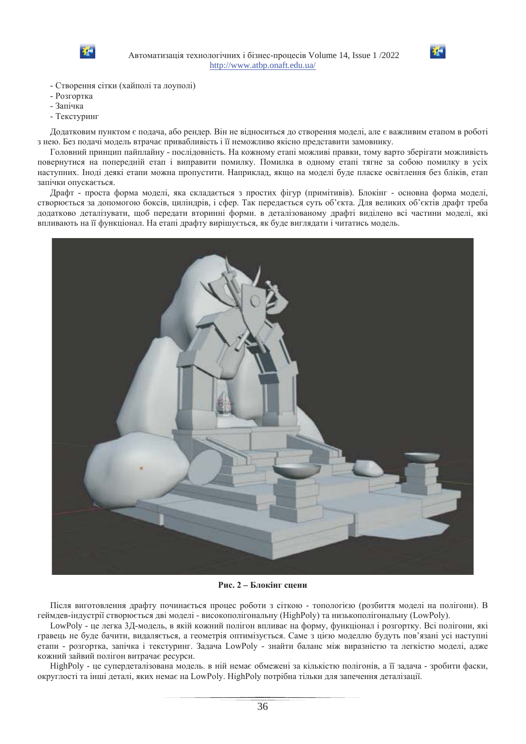



- Створення сітки (хайполі та лоуполі)
- Розгортка
- Запічка
- Текстуринг

Додатковим пунктом є подача, або рендер. Він не відноситься до створення моделі, але є важливим етапом в роботі з нею. Без подачі модель втрачає привабливість і її неможливо якісно представити замовнику.

Головний принцип пайплайну - послідовність. На кожному етапі можливі правки, тому варто зберігати можливість повернутися на попередній етап і виправити помилку. Помилка в одному етапі тягне за собою помилку в усіх наступних. Іноді деякі етапи можна пропустити. Наприклад, якщо на моделі буде пласке освітлення без бліків, етап запічки опускається.

Драфт - проста форма моделі, яка складається з простих фігур (примітивів). Блокінг - основна форма моделі, створюється за допомогою боксів, циліндрів, і сфер. Так передається суть об'єкта. Для великих об'єктів драфт треба додатково деталізувати, щоб передати вторинні форми. в деталізованому драфті виділено всі частини моделі, які впливають на її функціонал. На етапі драфту вирішується, як буде виглядати і читатись модель.



Рис. 2 – Блокінг сцени

Після виготовлення драфту починається процес роботи з сіткою - топологією (розбиття моделі на полігони). В геймдев-індустрії створюється дві моделі - високополігональну (HighPoly) та низькополігональну (LowPoly).

LowPoly - це легка 3Д-модель, в якій кожний полігон впливає на форму, функціонал і розгортку. Всі полігони, які гравець не буде бачити, видаляється, а геометрія оптимізується. Саме з цією моделлю будуть пов'язані усі наступні етапи - розгортка, запічка і текстуринг. Задача LowPoly - знайти баланс між виразністю та легкістю моделі, адже кожний зайвий полігон витрачає ресурси.

HighPoly - це супердеталізована модель. в ній немає обмежені за кількістю полігонів, а її задача - зробити фаски, округлості та інші деталі, яких немає на LowPoly. НіghPoly потрібна тільки для запечення деталізації.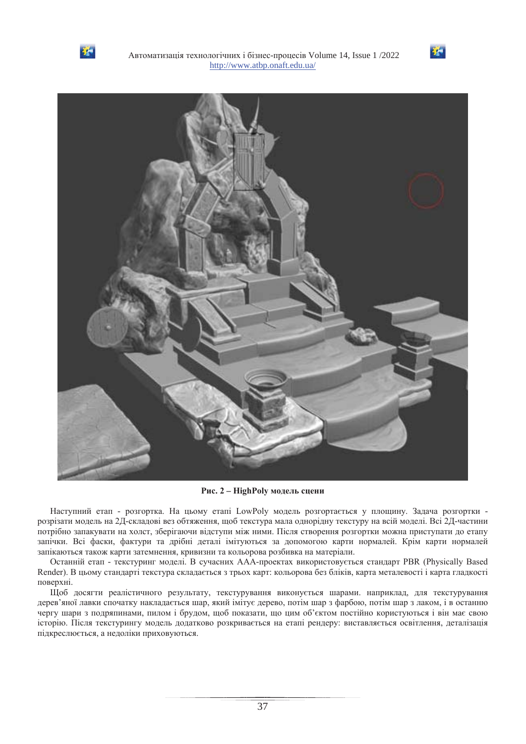





Рис. 2 – HighPoly модель сцени

Наступний етап - розгортка. На цьому етапі LowPoly модель розгортається у площину. Задача розгортки розрізати модель на 2Д-складові вез обтяження, щоб текстура мала однорідну текстуру на всій моделі. Всі 2Д-частини потрібно запакувати на холст, зберігаючи відступи між ними. Після створення розгортки можна приступати до етапу запічки. Всі фаски, фактури та дрібні деталі імітуються за допомогою карти нормалей. Крім карти нормалей запікаються також карти затемнення, кривизни та кольорова розбивка на матеріали.

Останній етап - текстуринг моделі. В сучасних ААА-проектах використовується стандарт PBR (Physically Based Render). В цьому стандарті текстура складається з трьох карт: кольорова без бліків, карта металевості і карта гладкості поверхні.

Щоб досягти реалістичного результату, текстурування виконується шарами. наприклад, для текстурування дерев'яної лавки спочатку накладається шар, який імітує дерево, потім шар з фарбою, потім шар з лаком, і в останню чергу шари з подряпинами, пилом і брудом, щоб показати, що цим об'єктом постійно користуються і він має свою історію. Після текстурингу модель додатково розкривається на етапі рендеру: виставляється освітлення, деталізація підкреслюється, а недоліки приховуються.